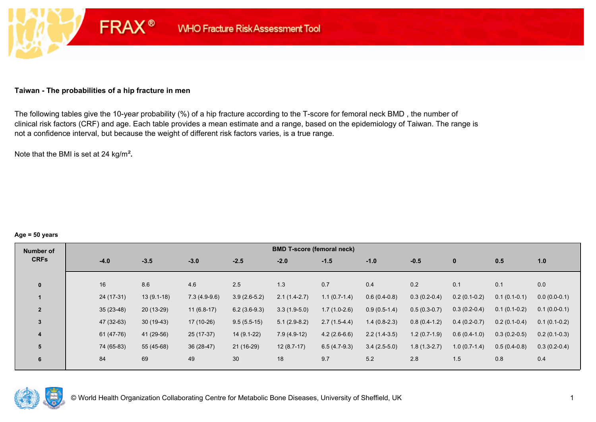#### **Taiwan - The probabilities of a hip fracture in men**

**FRAX®** 

The following tables give the 10-year probability (%) of a hip fracture according to the T-score for femoral neck BMD , the number of clinical risk factors (CRF) and age. Each table provides a mean estimate and a range, based on the epidemiology of Taiwan. The range is not a confidence interval, but because the weight of different risk factors varies, is a true range.

Note that the BMI is set at 24 kg/m²**.** 

#### **Age = 50 years**

| Number of      | <b>BMD T-score (femoral neck)</b> |              |                |                |                |                |                |                |                |                |                |  |  |
|----------------|-----------------------------------|--------------|----------------|----------------|----------------|----------------|----------------|----------------|----------------|----------------|----------------|--|--|
| <b>CRFs</b>    | $-4.0$                            | $-3.5$       | $-3.0$         | $-2.5$         | $-2.0$         | $-1.5$         | $-1.0$         | $-0.5$         | $\mathbf{0}$   | 0.5            | 1.0            |  |  |
|                |                                   |              |                |                |                |                |                |                |                |                |                |  |  |
| $\bf{0}$       | 16                                | 8.6          | 4.6            | 2.5            | 1.3            | 0.7            | 0.4            | 0.2            | 0.1            | 0.1            | 0.0            |  |  |
|                | 24 (17-31)                        | $13(9.1-18)$ | $7.3(4.9-9.6)$ | $3.9(2.6-5.2)$ | $2.1(1.4-2.7)$ | $1.1(0.7-1.4)$ | $0.6(0.4-0.8)$ | $0.3(0.2-0.4)$ | $0.2(0.1-0.2)$ | $0.1(0.1-0.1)$ | $0.0(0.0-0.1)$ |  |  |
| $\overline{2}$ | $35(23-48)$                       | $20(13-29)$  | $11(6.8-17)$   | $6.2(3.6-9.3)$ | $3.3(1.9-5.0)$ | $1.7(1.0-2.6)$ | $0.9(0.5-1.4)$ | $0.5(0.3-0.7)$ | $0.3(0.2-0.4)$ | $0.1(0.1-0.2)$ | $0.1(0.0-0.1)$ |  |  |
| 3              | 47 (32-63)                        | $30(19-43)$  | 17 (10-26)     | $9.5(5.5-15)$  | $5.1(2.9-8.2)$ | $2.7(1.5-4.4)$ | $1.4(0.8-2.3)$ | $0.8(0.4-1.2)$ | $0.4(0.2-0.7)$ | $0.2(0.1-0.4)$ | $0.1(0.1-0.2)$ |  |  |
| 4              | 61 (47-76)                        | 41 (29-56)   | $25(17-37)$    | $14(9.1-22)$   | $7.9(4.9-12)$  | $4.2(2.6-6.6)$ | $2.2(1.4-3.5)$ | $1.2(0.7-1.9)$ | $0.6(0.4-1.0)$ | $0.3(0.2-0.5)$ | $0.2(0.1-0.3)$ |  |  |
| 5              | 74 (65-83)                        | 55 (45-68)   | $36(28-47)$    | 21 (16-29)     | $12(8.7-17)$   | $6.5(4.7-9.3)$ | $3.4(2.5-5.0)$ | $1.8(1.3-2.7)$ | $1.0(0.7-1.4)$ | $0.5(0.4-0.8)$ | $0.3(0.2-0.4)$ |  |  |
| 6              | 84                                | 69           | 49             | 30             | 18             | 9.7            | 5.2            | 2.8            | 1.5            | 0.8            | 0.4            |  |  |
|                |                                   |              |                |                |                |                |                |                |                |                |                |  |  |

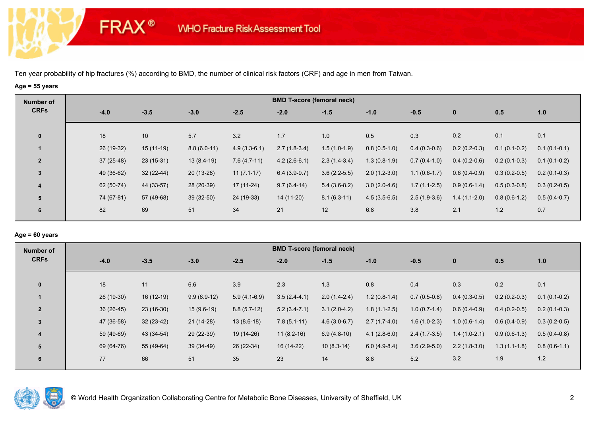**FRAX®** 

# **Age = 55 years**

| Number of      |        |             |             |               |                | <b>BMD T-score (femoral neck)</b> |                |                |                |                |                |                |
|----------------|--------|-------------|-------------|---------------|----------------|-----------------------------------|----------------|----------------|----------------|----------------|----------------|----------------|
| <b>CRFs</b>    | $-4.0$ | $-3.5$      |             | $-3.0$        | $-2.5$         | $-2.0$                            | $-1.5$         | $-1.0$         | $-0.5$         | $\mathbf 0$    | 0.5            | 1.0            |
| $\mathbf 0$    | 18     | 10          |             | 5.7           | 3.2            | 1.7                               | 1.0            | 0.5            | 0.3            | 0.2            | 0.1            | 0.1            |
|                |        | 26 (19-32)  | $15(11-19)$ | $8.8(6.0-11)$ | $4.9(3.3-6.1)$ | $2.7(1.8-3.4)$                    | $1.5(1.0-1.9)$ | $0.8(0.5-1.0)$ | $0.4(0.3-0.6)$ | $0.2(0.2-0.3)$ | $0.1(0.1-0.2)$ | $0.1(0.1-0.1)$ |
| $\overline{2}$ |        | $37(25-48)$ | $23(15-31)$ | $13(8.4-19)$  | $7.6(4.7-11)$  | $4.2(2.6-6.1)$                    | $2.3(1.4-3.4)$ | $1.3(0.8-1.9)$ | $0.7(0.4-1.0)$ | $0.4(0.2-0.6)$ | $0.2(0.1-0.3)$ | $0.1(0.1-0.2)$ |
| $\mathbf{3}$   |        | 49 (36-62)  | $32(22-44)$ | $20(13-28)$   | $11(7.1-17)$   | $6.4(3.9-9.7)$                    | $3.6(2.2-5.5)$ | $2.0(1.2-3.0)$ | $1.1(0.6-1.7)$ | $0.6(0.4-0.9)$ | $0.3(0.2-0.5)$ | $0.2(0.1-0.3)$ |
| 4              |        | 62 (50-74)  | 44 (33-57)  | 28 (20-39)    | $17(11-24)$    | $9.7(6.4-14)$                     | $5.4(3.6-8.2)$ | $3.0(2.0-4.6)$ | $1.7(1.1-2.5)$ | $0.9(0.6-1.4)$ | $0.5(0.3-0.8)$ | $0.3(0.2-0.5)$ |
| 5              |        | 74 (67-81)  | 57 (49-68)  | $39(32-50)$   | 24 (19-33)     | 14 (11-20)                        | $8.1(6.3-11)$  | $4.5(3.5-6.5)$ | $2.5(1.9-3.6)$ | $1.4(1.1-2.0)$ | $0.8(0.6-1.2)$ | $0.5(0.4-0.7)$ |
| 6              | 82     | 69          |             | 51            | 34             | 21                                | 12             | 6.8            | 3.8            | 2.1            | 1.2            | 0.7            |

## **Age = 60 years**

| Number of               |             |             |               |                | <b>BMD T-score (femoral neck)</b> |                |                |                |                |                |                |
|-------------------------|-------------|-------------|---------------|----------------|-----------------------------------|----------------|----------------|----------------|----------------|----------------|----------------|
| <b>CRFs</b>             | $-4.0$      | $-3.5$      | $-3.0$        | $-2.5$         | $-2.0$                            | $-1.5$         | $-1.0$         | $-0.5$         | $\mathbf{0}$   | 0.5            | 1.0            |
| $\mathbf{0}$            | 18          | 11          | 6.6           | 3.9            | 2.3                               | 1.3            | 0.8            | 0.4            | 0.3            | 0.2            | 0.1            |
|                         | 26 (19-30)  | $16(12-19)$ | $9.9(6.9-12)$ | $5.9(4.1-6.9)$ | $3.5(2.4-4.1)$                    | $2.0(1.4-2.4)$ | $1.2(0.8-1.4)$ | $0.7(0.5-0.8)$ | $0.4(0.3-0.5)$ | $0.2(0.2-0.3)$ | $0.1(0.1-0.2)$ |
| $\overline{2}$          | $36(26-45)$ | $23(16-30)$ | $15(9.6-19)$  | $8.8(5.7-12)$  | $5.2(3.4-7.1)$                    | $3.1(2.0-4.2)$ | $1.8(1.1-2.5)$ | $1.0(0.7-1.4)$ | $0.6(0.4-0.9)$ | $0.4(0.2-0.5)$ | $0.2(0.1-0.3)$ |
| 3                       | 47 (36-58)  | $32(23-42)$ | $21(14-28)$   | $13(8.6-18)$   | $7.8(5.1-11)$                     | $4.6(3.0-6.7)$ | $2.7(1.7-4.0)$ | $1.6(1.0-2.3)$ | $1.0(0.6-1.4)$ | $0.6(0.4-0.9)$ | $0.3(0.2-0.5)$ |
| $\overline{\mathbf{4}}$ | 59 (49-69)  | 43 (34-54)  | 29 (22-39)    | 19 (14-26)     | $11(8.2-16)$                      | $6.9(4.8-10)$  | $4.1(2.8-6.0)$ | $2.4(1.7-3.5)$ | $1.4(1.0-2.1)$ | $0.9(0.6-1.3)$ | $0.5(0.4-0.8)$ |
| 5                       | 69 (64-76)  | 55 (49-64)  | $39(34-49)$   | 26 (22-34)     | 16 (14-22)                        | $10(8.3-14)$   | $6.0(4.9-8.4)$ | $3.6(2.9-5.0)$ | $2.2(1.8-3.0)$ | $1.3(1.1-1.8)$ | $0.8(0.6-1.1)$ |
| 6                       | 77          | 66          | 51            | 35             | 23                                | 14             | 8.8            | 5.2            | 3.2            | 1.9            | 1.2            |

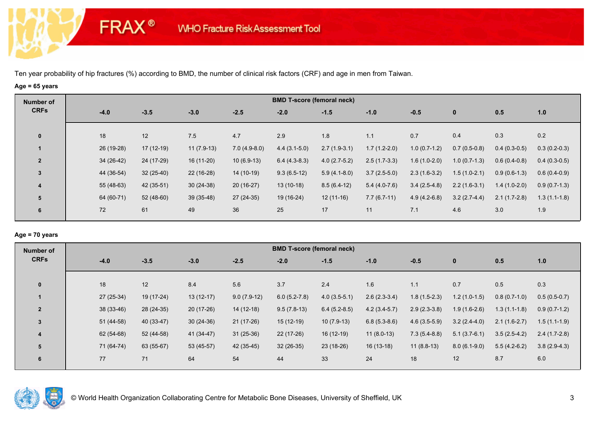**FRAX®** 

# **Age = 65 years**

| Number of      |             |             |              |                | <b>BMD T-score (femoral neck)</b> |                |                |                |                |                |                |
|----------------|-------------|-------------|--------------|----------------|-----------------------------------|----------------|----------------|----------------|----------------|----------------|----------------|
| <b>CRFs</b>    | $-4.0$      | $-3.5$      | $-3.0$       | $-2.5$         | $-2.0$                            | $-1.5$         | $-1.0$         | $-0.5$         | $\mathbf 0$    | 0.5            | 1.0            |
| $\mathbf 0$    | 18          | 12          | 7.5          | 4.7            | 2.9                               | 1.8            | 1.1            | 0.7            | 0.4            | 0.3            | 0.2            |
|                | 26 (19-28)  | $17(12-19)$ | $11(7.9-13)$ | $7.0(4.9-8.0)$ | $4.4(3.1-5.0)$                    | $2.7(1.9-3.1)$ | $1.7(1.2-2.0)$ | $1.0(0.7-1.2)$ | $0.7(0.5-0.8)$ | $0.4(0.3-0.5)$ | $0.3(0.2-0.3)$ |
| $\overline{2}$ | $34(26-42)$ | 24 (17-29)  | $16(11-20)$  | $10(6.9-13)$   | $6.4(4.3-8.3)$                    | $4.0(2.7-5.2)$ | $2.5(1.7-3.3)$ | $1.6(1.0-2.0)$ | $1.0(0.7-1.3)$ | $0.6(0.4-0.8)$ | $0.4(0.3-0.5)$ |
| 3              | 44 (36-54)  | $32(25-40)$ | $22(16-28)$  | 14 (10-19)     | $9.3(6.5-12)$                     | $5.9(4.1-8.0)$ | $3.7(2.5-5.0)$ | $2.3(1.6-3.2)$ | $1.5(1.0-2.1)$ | $0.9(0.6-1.3)$ | $0.6(0.4-0.9)$ |
| 4              | 55 (48-63)  | 42 (35-51)  | $30(24-38)$  | $20(16-27)$    | $13(10-18)$                       | $8.5(6.4-12)$  | $5.4(4.0-7.6)$ | $3.4(2.5-4.8)$ | $2.2(1.6-3.1)$ | $1.4(1.0-2.0)$ | $0.9(0.7-1.3)$ |
| 5              | 64 (60-71)  | $52(48-60)$ | $39(35-48)$  | 27 (24-35)     | 19 (16-24)                        | $12(11-16)$    | $7.7(6.7-11)$  | $4.9(4.2-6.8)$ | $3.2(2.7-4.4)$ | $2.1(1.7-2.8)$ | $1.3(1.1-1.8)$ |
| 6              | 72          | 61          | 49           | 36             | 25                                | 17             | 11             | 7.1            | 4.6            | 3.0            | 1.9            |

## **Age = 70 years**

| Number of      |             |             |             |               | <b>BMD T-score (femoral neck)</b> |                |                |                |                |                |                |
|----------------|-------------|-------------|-------------|---------------|-----------------------------------|----------------|----------------|----------------|----------------|----------------|----------------|
| <b>CRFs</b>    | $-4.0$      | $-3.5$      | $-3.0$      | $-2.5$        | $-2.0$                            | $-1.5$         | $-1.0$         | $-0.5$         | $\mathbf 0$    | 0.5            | 1.0            |
| $\mathbf{0}$   | 18          | 12          | 8.4         | 5.6           | 3.7                               | 2.4            | 1.6            | 1.1            | 0.7            | 0.5            | 0.3            |
|                | $27(25-34)$ | 19 (17-24)  | $13(12-17)$ | $9.0(7.9-12)$ | $6.0(5.2-7.8)$                    | $4.0(3.5-5.1)$ | $2.6(2.3-3.4)$ | $1.8(1.5-2.3)$ | $1.2(1.0-1.5)$ | $0.8(0.7-1.0)$ | $0.5(0.5-0.7)$ |
|                |             |             |             |               |                                   |                |                |                |                |                |                |
| $\overline{2}$ | 38 (33-46)  | 28 (24-35)  | $20(17-26)$ | $14(12-18)$   | $9.5(7.8-13)$                     | $6.4(5.2-8.5)$ | $4.2(3.4-5.7)$ | $2.9(2.3-3.8)$ | $1.9(1.6-2.6)$ | $1.3(1.1-1.8)$ | $0.9(0.7-1.2)$ |
| $\overline{3}$ | 51 (44-58)  | $40(33-47)$ | $30(24-36)$ | $21(17-26)$   | $15(12-19)$                       | $10(7.9-13)$   | $6.8(5.3-8.6)$ | $4.6(3.5-5.9)$ | $3.2(2.4-4.0)$ | $2.1(1.6-2.7)$ | $1.5(1.1-1.9)$ |
| 4              | 62 (54-68)  | 52 (44-58)  | 41 (34-47)  | $31(25-36)$   | $22(17-26)$                       | $16(12-19)$    | $11(8.0-13)$   | $7.3(5.4-8.8)$ | $5.1(3.7-6.1)$ | $3.5(2.5-4.2)$ | $2.4(1.7-2.8)$ |
| 5              | 71 (64-74)  | 63 (55-67)  | 53 (45-57)  | 42 (35-45)    | $32(26-35)$                       | 23 (18-26)     | $16(13-18)$    | $11(8.8-13)$   | $8.0(6.1-9.0)$ | $5.5(4.2-6.2)$ | $3.8(2.9-4.3)$ |
| 6              | 77          | 71          | 64          | 54            | 44                                | 33             | 24             | 18             | 12             | 8.7            | 6.0            |

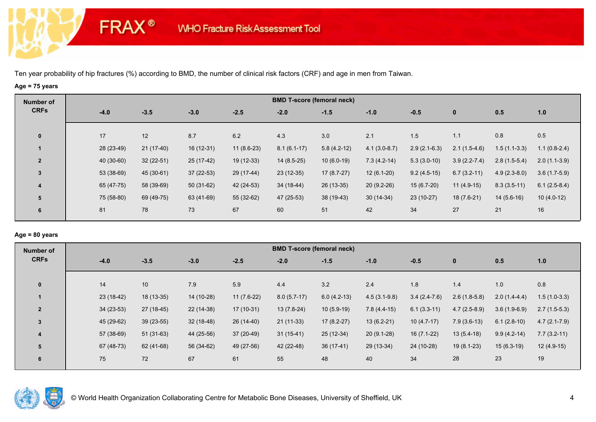**FRAX®** 

# **Age = 75 years**

| Number of               |            |             |             |              |               | <b>BMD T-score (femoral neck)</b> |                |                |                  |                |                |
|-------------------------|------------|-------------|-------------|--------------|---------------|-----------------------------------|----------------|----------------|------------------|----------------|----------------|
| <b>CRFs</b>             | $-4.0$     | $-3.5$      | $-3.0$      | $-2.5$       | $-2.0$        | $-1.5$                            | $-1.0$         | $-0.5$         | $\mathbf 0$      | 0.5            | 1.0            |
| $\mathbf 0$             | 17         | 12          | 8.7         | 6.2          | 4.3           | 3.0                               | 2.1            | 1.5            | 1.1              | 0.8            | 0.5            |
|                         | 28 (23-49) | $21(17-40)$ | 16 (12-31)  | $11(8.6-23)$ | $8.1(6.1-17)$ | $5.8(4.2-12)$                     | $4.1(3.0-8.7)$ | $2.9(2.1-6.3)$ | $2.1(1.5-4.6)$   | $1.5(1.1-3.3)$ | $1.1(0.8-2.4)$ |
| $\overline{2}$          | 40 (30-60) | $32(22-51)$ | 25 (17-42)  | 19 (12-33)   | $14(8.5-25)$  | $10(6.0-19)$                      | $7.3(4.2-14)$  | $5.3(3.0-10)$  | $3.9(2.2 - 7.4)$ | $2.8(1.5-5.4)$ | $2.0(1.1-3.9)$ |
| 3                       | 53 (38-69) | 45 (30-61)  | $37(22-53)$ | 29 (17-44)   | $23(12-35)$   | $17(8.7-27)$                      | $12(6.1-20)$   | $9.2(4.5-15)$  | $6.7(3.2-11)$    | $4.9(2.3-8.0)$ | $3.6(1.7-5.9)$ |
| $\overline{\mathbf{4}}$ | 65 (47-75) | 58 (39-69)  | $50(31-62)$ | 42 (24-53)   | 34 (18-44)    | 26 (13-35)                        | $20(9.2-26)$   | $15(6.7-20)$   | $11(4.9-15)$     | $8.3(3.5-11)$  | $6.1(2.5-8.4)$ |
| 5                       | 75 (58-80) | 69 (49-75)  | 63 (41-69)  | 55 (32-62)   | 47 (25-53)    | $38(19-43)$                       | $30(14-34)$    | $23(10-27)$    | $18(7.6-21)$     | $14(5.6-16)$   | $10(4.0-12)$   |
| 6                       | 81         | 78          | 73          | 67           | 60            | 51                                | 42             | 34             | 27               | 21             | 16             |

## **Age = 80 years**

| Number of      |             |             |             |              |               | <b>BMD T-score (femoral neck)</b> |                |                |                |                |                  |
|----------------|-------------|-------------|-------------|--------------|---------------|-----------------------------------|----------------|----------------|----------------|----------------|------------------|
| <b>CRFs</b>    | $-4.0$      | $-3.5$      | $-3.0$      | $-2.5$       | $-2.0$        | $-1.5$                            | $-1.0$         | $-0.5$         | $\mathbf{0}$   | 0.5            | 1.0              |
|                |             |             |             |              |               |                                   |                |                |                |                |                  |
| $\mathbf{0}$   | 14          | 10          | 7.9         | 5.9          | 4.4           | 3.2                               | 2.4            | 1.8            | 1.4            | 1.0            | 0.8              |
|                | $23(18-42)$ | $18(13-35)$ | 14 (10-28)  | $11(7.6-22)$ | $8.0(5.7-17)$ | $6.0(4.2-13)$                     | $4.5(3.1-9.8)$ | $3.4(2.4-7.6)$ | $2.6(1.8-5.8)$ | $2.0(1.4-4.4)$ | $1.5(1.0-3.3)$   |
| $\overline{2}$ | $34(23-53)$ | $27(18-45)$ | $22(14-38)$ | $17(10-31)$  | $13(7.8-24)$  | $10(5.9-19)$                      | $7.8(4.4-15)$  | $6.1(3.3-11)$  | $4.7(2.5-8.9)$ | $3.6(1.9-6.9)$ | $2.7(1.5-5.3)$   |
| $\overline{3}$ | 45 (29-62)  | $39(23-55)$ | $32(18-48)$ | $26(14-40)$  | $21(11-33)$   | $17(8.2-27)$                      | $13(6.2-21)$   | $10(4.7-17)$   | $7.9(3.6-13)$  | $6.1(2.8-10)$  | $4.7(2.1 - 7.9)$ |
| 4              | 57 (38-69)  | $51(31-63)$ | 44 (25-56)  | $37(20-49)$  | $31(15-41)$   | $25(12-34)$                       | $20(9.1-28)$   | $16(7.1-22)$   | $13(5.4-18)$   | $9.9(4.2-14)$  | $7.7(3.2-11)$    |
| 5              | 67 (48-73)  | 62 (41-68)  | 56 (34-62)  | 49 (27-56)   | 42 (22-48)    | $36(17-41)$                       | 29 (13-34)     | 24 (10-28)     | $19(8.1-23)$   | $15(6.3-19)$   | $12(4.9-15)$     |
| 6              | 75          | 72          | 67          | 61           | 55            | 48                                | 40             | 34             | 28             | 23             | 19               |
|                |             |             |             |              |               |                                   |                |                |                |                |                  |